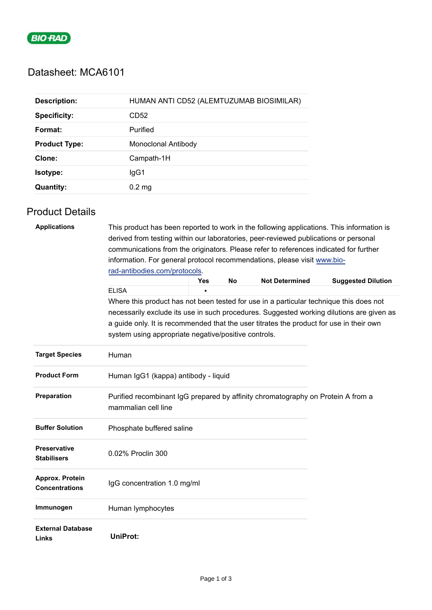

# Datasheet: MCA6101

| <b>Description:</b>  | HUMAN ANTI CD52 (ALEMTUZUMAB BIOSIMILAR) |
|----------------------|------------------------------------------|
| <b>Specificity:</b>  | CD52                                     |
| Format:              | Purified                                 |
| <b>Product Type:</b> | Monoclonal Antibody                      |
| Clone:               | Campath-1H                               |
| Isotype:             | lgG1                                     |
| <b>Quantity:</b>     | $0.2 \text{ mg}$                         |

## Product Details

| <b>Applications</b>                       | This product has been reported to work in the following applications. This information is<br>derived from testing within our laboratories, peer-reviewed publications or personal<br>communications from the originators. Please refer to references indicated for further<br>information. For general protocol recommendations, please visit www.bio-<br>rad-antibodies.com/protocols. |     |    |                       |                                                                                          |  |  |
|-------------------------------------------|-----------------------------------------------------------------------------------------------------------------------------------------------------------------------------------------------------------------------------------------------------------------------------------------------------------------------------------------------------------------------------------------|-----|----|-----------------------|------------------------------------------------------------------------------------------|--|--|
|                                           |                                                                                                                                                                                                                                                                                                                                                                                         | Yes | No | <b>Not Determined</b> | <b>Suggested Dilution</b>                                                                |  |  |
|                                           | <b>ELISA</b>                                                                                                                                                                                                                                                                                                                                                                            |     |    |                       |                                                                                          |  |  |
|                                           | Where this product has not been tested for use in a particular technique this does not<br>a guide only. It is recommended that the user titrates the product for use in their own<br>system using appropriate negative/positive controls.                                                                                                                                               |     |    |                       | necessarily exclude its use in such procedures. Suggested working dilutions are given as |  |  |
| <b>Target Species</b>                     | Human                                                                                                                                                                                                                                                                                                                                                                                   |     |    |                       |                                                                                          |  |  |
| <b>Product Form</b>                       | Human IgG1 (kappa) antibody - liquid                                                                                                                                                                                                                                                                                                                                                    |     |    |                       |                                                                                          |  |  |
| Preparation                               | Purified recombinant IgG prepared by affinity chromatography on Protein A from a<br>mammalian cell line                                                                                                                                                                                                                                                                                 |     |    |                       |                                                                                          |  |  |
| <b>Buffer Solution</b>                    | Phosphate buffered saline                                                                                                                                                                                                                                                                                                                                                               |     |    |                       |                                                                                          |  |  |
| <b>Preservative</b><br><b>Stabilisers</b> | 0.02% Proclin 300                                                                                                                                                                                                                                                                                                                                                                       |     |    |                       |                                                                                          |  |  |
| Approx. Protein<br><b>Concentrations</b>  | IgG concentration 1.0 mg/ml                                                                                                                                                                                                                                                                                                                                                             |     |    |                       |                                                                                          |  |  |
| Immunogen                                 | Human lymphocytes                                                                                                                                                                                                                                                                                                                                                                       |     |    |                       |                                                                                          |  |  |
| <b>External Database</b><br>Links         | <b>UniProt:</b>                                                                                                                                                                                                                                                                                                                                                                         |     |    |                       |                                                                                          |  |  |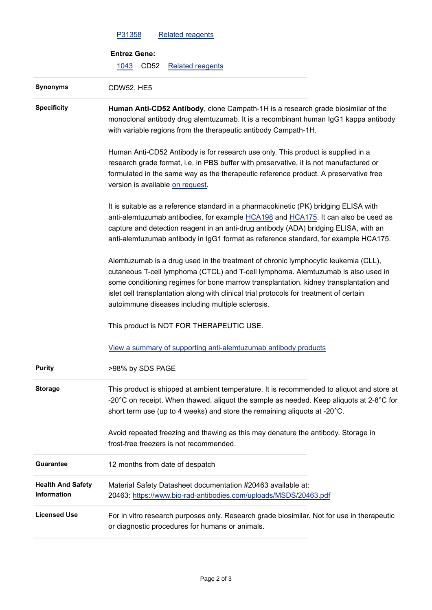|                                         | <b>Related reagents</b><br>P31358                                                                                                                                                                                                                                                                                                                                                                                |  |  |  |  |  |
|-----------------------------------------|------------------------------------------------------------------------------------------------------------------------------------------------------------------------------------------------------------------------------------------------------------------------------------------------------------------------------------------------------------------------------------------------------------------|--|--|--|--|--|
|                                         | <b>Entrez Gene:</b>                                                                                                                                                                                                                                                                                                                                                                                              |  |  |  |  |  |
|                                         | CD <sub>52</sub><br><b>Related reagents</b><br>1043                                                                                                                                                                                                                                                                                                                                                              |  |  |  |  |  |
| <b>Synonyms</b>                         | <b>CDW52, HE5</b>                                                                                                                                                                                                                                                                                                                                                                                                |  |  |  |  |  |
| <b>Specificity</b>                      | Human Anti-CD52 Antibody, clone Campath-1H is a research grade biosimilar of the<br>monoclonal antibody drug alemtuzumab. It is a recombinant human IgG1 kappa antibody<br>with variable regions from the therapeutic antibody Campath-1H.                                                                                                                                                                       |  |  |  |  |  |
|                                         | Human Anti-CD52 Antibody is for research use only. This product is supplied in a<br>research grade format, i.e. in PBS buffer with preservative, it is not manufactured or<br>formulated in the same way as the therapeutic reference product. A preservative free<br>version is available on request.                                                                                                           |  |  |  |  |  |
|                                         | It is suitable as a reference standard in a pharmacokinetic (PK) bridging ELISA with<br>anti-alemtuzumab antibodies, for example HCA198 and HCA175. It can also be used as<br>capture and detection reagent in an anti-drug antibody (ADA) bridging ELISA, with an<br>anti-alemtuzumab antibody in IgG1 format as reference standard, for example HCA175.                                                        |  |  |  |  |  |
|                                         | Alemtuzumab is a drug used in the treatment of chronic lymphocytic leukemia (CLL),<br>cutaneous T-cell lymphoma (CTCL) and T-cell lymphoma. Alemtuzumab is also used in<br>some conditioning regimes for bone marrow transplantation, kidney transplantation and<br>islet cell transplantation along with clinical trial protocols for treatment of certain<br>autoimmune diseases including multiple sclerosis. |  |  |  |  |  |
|                                         | This product is NOT FOR THERAPEUTIC USE.                                                                                                                                                                                                                                                                                                                                                                         |  |  |  |  |  |
|                                         | View a summary of supporting anti-alemtuzumab antibody products                                                                                                                                                                                                                                                                                                                                                  |  |  |  |  |  |
| <b>Purity</b>                           | >98% by SDS PAGE                                                                                                                                                                                                                                                                                                                                                                                                 |  |  |  |  |  |
| <b>Storage</b>                          | This product is shipped at ambient temperature. It is recommended to aliquot and store at<br>-20 $^{\circ}$ C on receipt. When thawed, aliquot the sample as needed. Keep aliquots at 2-8 $^{\circ}$ C for<br>short term use (up to 4 weeks) and store the remaining aliquots at -20°C.                                                                                                                          |  |  |  |  |  |
|                                         | Avoid repeated freezing and thawing as this may denature the antibody. Storage in<br>frost-free freezers is not recommended.                                                                                                                                                                                                                                                                                     |  |  |  |  |  |
| <b>Guarantee</b>                        | 12 months from date of despatch                                                                                                                                                                                                                                                                                                                                                                                  |  |  |  |  |  |
| <b>Health And Safety</b><br>Information | Material Safety Datasheet documentation #20463 available at:<br>20463: https://www.bio-rad-antibodies.com/uploads/MSDS/20463.pdf                                                                                                                                                                                                                                                                                 |  |  |  |  |  |
| <b>Licensed Use</b>                     | For in vitro research purposes only. Research grade biosimilar. Not for use in therapeutic<br>or diagnostic procedures for humans or animals.                                                                                                                                                                                                                                                                    |  |  |  |  |  |